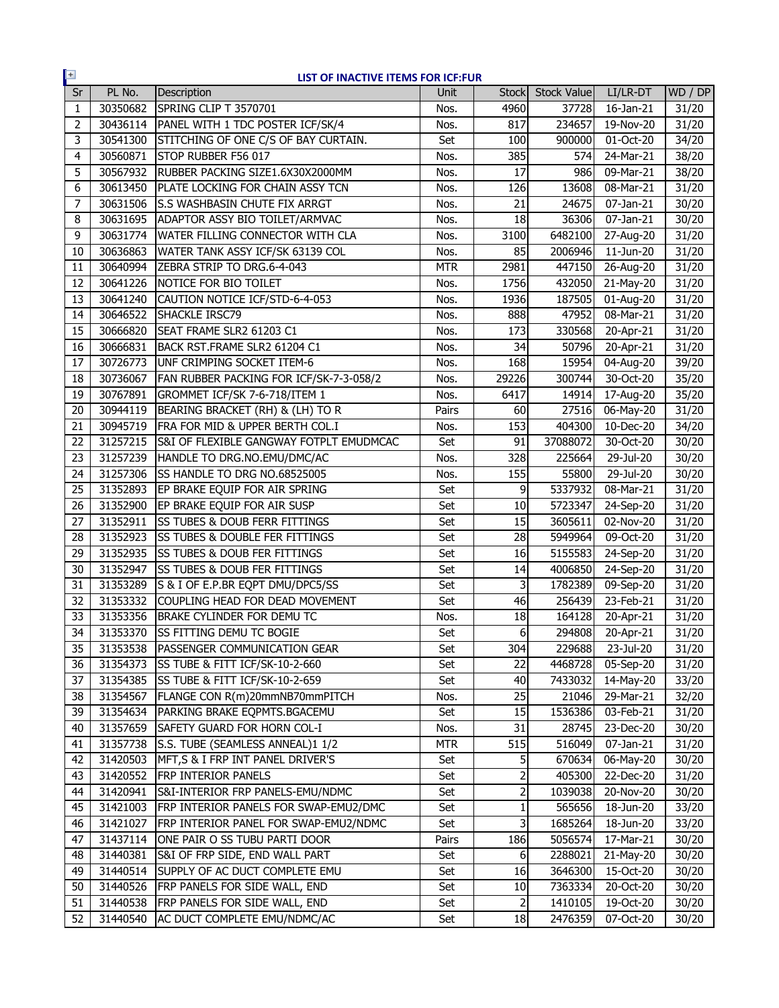| $+$             |          | LIST OF INACTIVE ITEMS FOR ICF:FUR        |            |              |             |                         |                   |
|-----------------|----------|-------------------------------------------|------------|--------------|-------------|-------------------------|-------------------|
| Sr              | PL No.   | Description                               | Unit       | <b>Stock</b> | Stock Value | LI/LR-DT                | WD / DP           |
| 1               | 30350682 | SPRING CLIP T 3570701                     | Nos.       | 4960         | 37728       | 16-Jan-21               | 31/20             |
| 2               | 30436114 | PANEL WITH 1 TDC POSTER ICF/SK/4          | Nos.       | 817          | 234657      | 19-Nov-20               | 31/20             |
| 3               | 30541300 | STITCHING OF ONE C/S OF BAY CURTAIN.      | Set        | 100          | 900000      | 01-Oct-20               | 34/20             |
| 4               | 30560871 | STOP RUBBER F56 017                       | Nos.       | 385          | 574         | 24-Mar-21               | 38/20             |
| 5               | 30567932 | RUBBER PACKING SIZE1.6X30X2000MM          | Nos.       | 17           | 986         | 09-Mar-21               | 38/20             |
| 6               | 30613450 | PLATE LOCKING FOR CHAIN ASSY TCN          | Nos.       | 126          | 13608       | 08-Mar-21               | 31/20             |
| $\overline{7}$  | 30631506 | S.S WASHBASIN CHUTE FIX ARRGT             | Nos.       | 21           | 24675       | 07-Jan-21               | 30/20             |
| 8               | 30631695 | ADAPTOR ASSY BIO TOILET/ARMVAC            | Nos.       | 18           | 36306       | $\overline{0}$ 7-Jan-21 | 30/20             |
| 9               | 30631774 | <b>WATER FILLING CONNECTOR WITH CLA</b>   | Nos.       | 3100         | 6482100     | 27-Aug-20               | 31/20             |
| 10              | 30636863 | WATER TANK ASSY ICF/SK 63139 COL          | Nos.       | 85           | 2006946     | 11-Jun-20               | 31/20             |
| 11              | 30640994 | ZEBRA STRIP TO DRG.6-4-043                | <b>MTR</b> | 2981         | 447150      | 26-Aug-20               | 31/20             |
| 12              | 30641226 | NOTICE FOR BIO TOILET                     | Nos.       | 1756         | 432050      | 21-May-20               | 31/20             |
| 13              | 30641240 | CAUTION NOTICE ICF/STD-6-4-053            | Nos.       | 1936         | 187505      | 01-Aug-20               | 31/20             |
| 14              | 30646522 | <b>SHACKLE IRSC79</b>                     | Nos.       | 888          | 47952       | 08-Mar-21               | 31/20             |
| 15              | 30666820 | SEAT FRAME SLR2 61203 C1                  | Nos.       | 173          | 330568      | $20 - Apr - 21$         | 31/20             |
| 16              | 30666831 | BACK RST.FRAME SLR2 61204 C1              | Nos.       | 34           | 50796       | 20-Apr-21               | 31/20             |
| 17              | 30726773 | UNF CRIMPING SOCKET ITEM-6                | Nos.       | 168          | 15954       | 04-Aug-20               | 39/20             |
| 18              | 30736067 | FAN RUBBER PACKING FOR ICF/SK-7-3-058/2   | Nos.       | 29226        | 300744      | 30-Oct-20               | 35/20             |
| 19              | 30767891 | GROMMET ICF/SK 7-6-718/ITEM 1             | Nos.       | 6417         | 14914       | 17-Aug-20               | 35/20             |
| 20              | 30944119 | BEARING BRACKET (RH) & (LH) TO R          | Pairs      | 60           | 27516       | 06-May-20               | 31/20             |
| 21              | 30945719 | FRA FOR MID & UPPER BERTH COL.I           | Nos.       | 153          | 404300      | 10-Dec-20               | 34/20             |
| 22              | 31257215 | S&I OF FLEXIBLE GANGWAY FOTPLT EMUDMCAC   | Set        | 91           | 37088072    | 30-Oct-20               | 30/20             |
| 23              | 31257239 | HANDLE TO DRG.NO.EMU/DMC/AC               | Nos.       | 328          | 225664      | 29-Jul-20               | 30/20             |
| 24              | 31257306 | SS HANDLE TO DRG NO.68525005              | Nos.       | 155          | 55800       | 29-Jul-20               | 30/20             |
| 25              | 31352893 | EP BRAKE EQUIP FOR AIR SPRING             | Set        | 9            | 5337932     | 08-Mar-21               | 31/20             |
| 26              | 31352900 | EP BRAKE EQUIP FOR AIR SUSP               | Set        | 10           | 5723347     | 24-Sep-20               | 31/20             |
| 27              | 31352911 | <b>ISS TUBES &amp; DOUB FERR FITTINGS</b> | Set        | 15           | 3605611     | 02-Nov-20               | 31/20             |
| 28              | 31352923 | <b>SS TUBES &amp; DOUBLE FER FITTINGS</b> | Set        | 28           | 5949964     | 09-Oct-20               | 31/20             |
| 29              | 31352935 | <b>ISS TUBES &amp; DOUB FER FITTINGS</b>  | Set        | 16           | 5155583     | 24-Sep-20               | 31/20             |
| 30              | 31352947 | <b>ISS TUBES &amp; DOUB FER FITTINGS</b>  | Set        | 14           | 4006850     | 24-Sep-20               | 31/20             |
| 31              | 31353289 | S & I OF E.P.BR EQPT DMU/DPC5/SS          | Set        | 3            | 1782389     | 09-Sep-20               | 31/20             |
| 32              | 31353332 | COUPLING HEAD FOR DEAD MOVEMENT           | Set        | 46           | 256439      | 23-Feb-21               | 31/20             |
| 33              | 31353356 | BRAKE CYLINDER FOR DEMU TC                | Nos.       | 18           | 164128      | 20-Apr-21               | 31/20             |
| $\overline{34}$ | 31353370 | <b>SS FITTING DEMU TC BOGIE</b>           | Set        | $6 \mid$     |             | 294808 20-Apr-21        | $\frac{1}{31/20}$ |
| 35              | 31353538 | <b>PASSENGER COMMUNICATION GEAR</b>       | Set        | 304          | 229688      | 23-Jul-20               | 31/20             |
| 36              | 31354373 | SS TUBE & FITT ICF/SK-10-2-660            | Set        | 22           | 4468728     | 05-Sep-20               | 31/20             |
| 37              | 31354385 | <b>SS TUBE &amp; FITT ICF/SK-10-2-659</b> | Set        | 40           | 7433032     | 14-May-20               | 33/20             |
| 38              | 31354567 | FLANGE CON R(m)20mmNB70mmPITCH            | Nos.       | 25           | 21046       | 29-Mar-21               | 32/20             |
| 39              | 31354634 | PARKING BRAKE EQPMTS.BGACEMU              | Set        | 15           | 1536386     | 03-Feb-21               | 31/20             |
| 40              | 31357659 | SAFETY GUARD FOR HORN COL-I               | Nos.       | 31           | 28745       | 23-Dec-20               | 30/20             |
| 41              | 31357738 | S.S. TUBE (SEAMLESS ANNEAL)1 1/2          | MTR        | 515          | 516049      | 07-Jan-21               | 31/20             |
| 42              | 31420503 | MFT, S & I FRP INT PANEL DRIVER'S         | Set        | 5            | 670634      | 06-May-20               | 30/20             |
| 43              | 31420552 | <b>FRP INTERIOR PANELS</b>                | Set        | 2            | 405300      | 22-Dec-20               | 31/20             |
| 44              | 31420941 | S&I-INTERIOR FRP PANELS-EMU/NDMC          | Set        | 2            | 1039038     | 20-Nov-20               | 30/20             |
| 45              | 31421003 | FRP INTERIOR PANELS FOR SWAP-EMU2/DMC     | Set        | 1            | 565656      | 18-Jun-20               | 33/20             |
| 46              | 31421027 | FRP INTERIOR PANEL FOR SWAP-EMU2/NDMC     | Set        | 3            | 1685264     | 18-Jun-20               | 33/20             |
| 47              | 31437114 | ONE PAIR O SS TUBU PARTI DOOR             | Pairs      | 186          | 5056574     | 17-Mar-21               | 30/20             |
| 48              | 31440381 | S&I OF FRP SIDE, END WALL PART            | Set        | 6            | 2288021     | 21-May-20               | 30/20             |
| 49              | 31440514 | SUPPLY OF AC DUCT COMPLETE EMU            | Set        | 16           | 3646300     | 15-Oct-20               | 30/20             |
| 50              | 31440526 | FRP PANELS FOR SIDE WALL, END             | Set        | 10           | 7363334     | 20-Oct-20               | 30/20             |
| 51              | 31440538 | FRP PANELS FOR SIDE WALL, END             | Set        | 2            | 1410105     | 19-Oct-20               | 30/20             |
| 52              | 31440540 | AC DUCT COMPLETE EMU/NDMC/AC              | Set        | 18           | 2476359     | 07-Oct-20               | 30/20             |
|                 |          |                                           |            |              |             |                         |                   |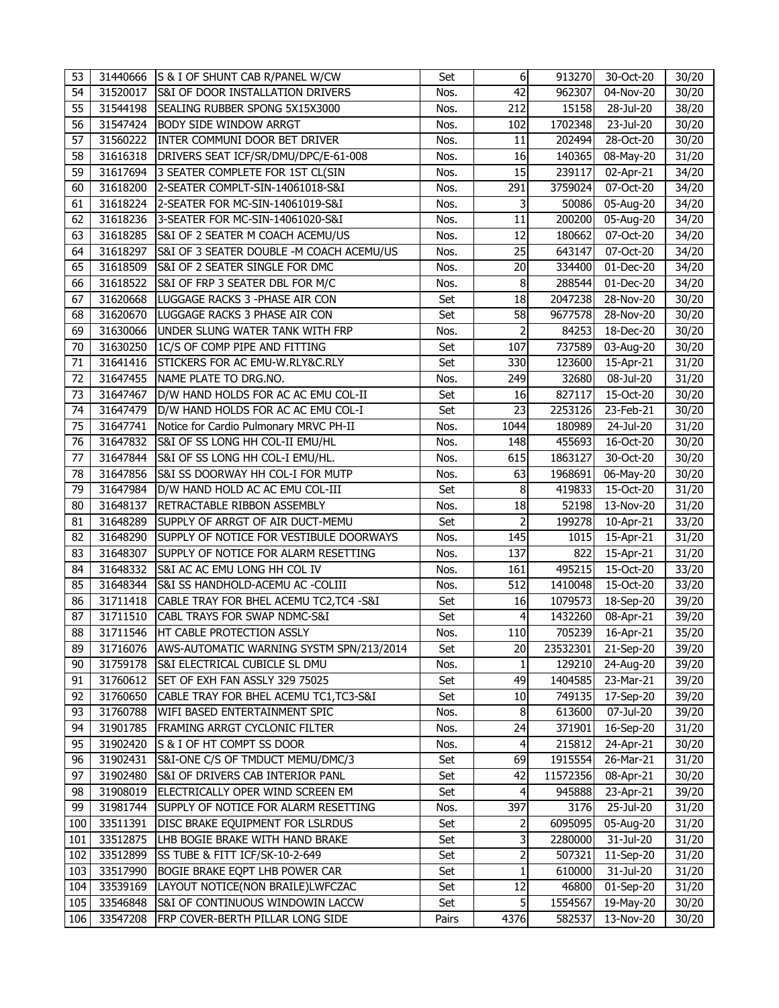| 53  |          | 31440666 S & I OF SHUNT CAB R/PANEL W/CW    | Set   | 6              | 913270   | 30-Oct-20               | 30/20 |
|-----|----------|---------------------------------------------|-------|----------------|----------|-------------------------|-------|
| 54  | 31520017 | <b>S&amp;I OF DOOR INSTALLATION DRIVERS</b> | Nos.  | 42             | 962307   | 04-Nov-20               | 30/20 |
| 55  | 31544198 | SEALING RUBBER SPONG 5X15X3000              | Nos.  | 212            | 15158    | 28-Jul-20               | 38/20 |
| 56  | 31547424 | <b>BODY SIDE WINDOW ARRGT</b>               | Nos.  | 102            | 1702348  | 23-Jul-20               | 30/20 |
| 57  | 31560222 | INTER COMMUNI DOOR BET DRIVER               | Nos.  | 11             | 202494   | 28-Oct-20               | 30/20 |
| 58  | 31616318 | DRIVERS SEAT ICF/SR/DMU/DPC/E-61-008        | Nos.  | 16             | 140365   | 08-May-20               | 31/20 |
| 59  | 31617694 | 3 SEATER COMPLETE FOR 1ST CL(SIN            | Nos.  | 15             | 239117   | $\overline{0}$ 2-Apr-21 | 34/20 |
| 60  | 31618200 | 2-SEATER COMPLT-SIN-14061018-S&I            | Nos.  | 291            | 3759024  | 07-Oct-20               | 34/20 |
| 61  | 31618224 | 2-SEATER FOR MC-SIN-14061019-S&I            | Nos.  | 3              | 50086    | 05-Aug-20               | 34/20 |
| 62  | 31618236 | 3-SEATER FOR MC-SIN-14061020-S&I            | Nos.  | 11             | 200200   | $\overline{0}$ 5-Aug-20 | 34/20 |
| 63  | 31618285 | S&I OF 2 SEATER M COACH ACEMU/US            | Nos.  | 12             | 180662   | $07-Oct-20$             | 34/20 |
| 64  | 31618297 | S&I OF 3 SEATER DOUBLE -M COACH ACEMU/US    | Nos.  | 25             | 643147   | 07-Oct-20               | 34/20 |
| 65  | 31618509 | S&I OF 2 SEATER SINGLE FOR DMC              | Nos.  | 20             | 334400   | 01-Dec-20               | 34/20 |
| 66  | 31618522 | S&I OF FRP 3 SEATER DBL FOR M/C             | Nos.  | 8              | 288544   | 01-Dec-20               | 34/20 |
| 67  | 31620668 | LUGGAGE RACKS 3 - PHASE AIR CON             | Set   | 18             | 2047238  | 28-Nov-20               | 30/20 |
| 68  | 31620670 | LUGGAGE RACKS 3 PHASE AIR CON               | Set   | 58             | 9677578  | 28-Nov-20               | 30/20 |
| 69  | 31630066 | UNDER SLUNG WATER TANK WITH FRP             | Nos.  | $\overline{2}$ | 84253    | 18-Dec-20               | 30/20 |
| 70  | 31630250 | 1C/S OF COMP PIPE AND FITTING               | Set   | 107            | 737589   | 03-Aug-20               | 30/20 |
| 71  | 31641416 | STICKERS FOR AC EMU-W.RLY&C.RLY             | Set   | 330            | 123600   | 15-Apr-21               | 31/20 |
| 72  | 31647455 | NAME PLATE TO DRG.NO.                       | Nos.  | 249            | 32680    | $08 -$ Jul-20           | 31/20 |
| 73  | 31647467 | D/W HAND HOLDS FOR AC AC EMU COL-II         | Set   | 16             | 827117   | 15-Oct-20               | 30/20 |
| 74  | 31647479 | D/W HAND HOLDS FOR AC AC EMU COL-I          | Set   | 23             | 2253126  | 23-Feb-21               | 30/20 |
| 75  | 31647741 | Notice for Cardio Pulmonary MRVC PH-II      | Nos.  | 1044           | 180989   | 24-Jul-20               | 31/20 |
| 76  | 31647832 | S&I OF SS LONG HH COL-II EMU/HL             | Nos.  | 148            | 455693   | 16-Oct-20               | 30/20 |
| 77  | 31647844 | S&I OF SS LONG HH COL-I EMU/HL.             | Nos.  | 615            | 1863127  | 30-Oct-20               | 30/20 |
| 78  | 31647856 | S&I SS DOORWAY HH COL-I FOR MUTP            | Nos.  | 63             | 1968691  | $\overline{0}$ 6-May-20 | 30/20 |
| 79  | 31647984 | D/W HAND HOLD AC AC EMU COL-III             | Set   | 8              | 419833   | 15-Oct-20               | 31/20 |
| 80  | 31648137 | RETRACTABLE RIBBON ASSEMBLY                 | Nos.  | 18             | 52198    | 13-Nov-20               | 31/20 |
| 81  | 31648289 | SUPPLY OF ARRGT OF AIR DUCT-MEMU            | Set   | 2              | 199278   | $\overline{10}$ -Apr-21 | 33/20 |
| 82  | 31648290 | SUPPLY OF NOTICE FOR VESTIBULE DOORWAYS     | Nos.  | 145            | 1015     | 15-Apr-21               | 31/20 |
| 83  | 31648307 | SUPPLY OF NOTICE FOR ALARM RESETTING        | Nos.  | 137            | 822      | 15-Apr-21               | 31/20 |
| 84  | 31648332 | S&I AC AC EMU LONG HH COL IV                | Nos.  | 161            | 495215   | 15-Oct-20               | 33/20 |
| 85  | 31648344 | S&I SS HANDHOLD-ACEMU AC -COLIII            | Nos.  | 512            | 1410048  | 15-Oct-20               | 33/20 |
| 86  | 31711418 | CABLE TRAY FOR BHEL ACEMU TC2, TC4 -S&I     | Set   | 16             | 1079573  | 18-Sep-20               | 39/20 |
| 87  | 31711510 | CABL TRAYS FOR SWAP NDMC-S&I                | Set   | $\overline{4}$ | 1432260  | $\overline{0}$ 8-Apr-21 | 39/20 |
| 88  | 31711546 | <b>HT CABLE PROTECTION ASSLY</b>            | Nos.  | 110            | 705239   | 16-Apr-21               | 35/20 |
| 89  | 31716076 | AWS-AUTOMATIC WARNING SYSTM SPN/213/2014    | Set   | 20             | 23532301 | 21-Sep-20               | 39/20 |
| 90  | 31759178 | S&I ELECTRICAL CUBICLE SL DMU               | Nos.  | $\mathbf{1}$   | 129210   | 24-Aug-20               | 39/20 |
| 91  | 31760612 | SET OF EXH FAN ASSLY 329 75025              | Set   | 49             | 1404585  | 23-Mar-21               | 39/20 |
| 92  | 31760650 | CABLE TRAY FOR BHEL ACEMU TC1, TC3-S&I      | Set   | 10             | 749135   | 17-Sep-20               | 39/20 |
| 93  | 31760788 | WIFI BASED ENTERTAINMENT SPIC               | Nos.  | 8              | 613600   | $\overline{0}$ 7-Jul-20 | 39/20 |
| 94  | 31901785 | FRAMING ARRGT CYCLONIC FILTER               | Nos.  | 24             | 371901   | 16-Sep-20               | 31/20 |
| 95  | 31902420 | S & I OF HT COMPT SS DOOR                   | Nos.  | 4              | 215812   | 24-Apr-21               | 30/20 |
| 96  | 31902431 | S&I-ONE C/S OF TMDUCT MEMU/DMC/3            | Set   | 69             | 1915554  | 26-Mar-21               | 31/20 |
| 97  | 31902480 | S&I OF DRIVERS CAB INTERIOR PANL            | Set   | 42             | 11572356 | 08-Apr-21               | 30/20 |
| 98  | 31908019 | ELECTRICALLY OPER WIND SCREEN EM            | Set   | 4              | 945888   | 23-Apr-21               | 39/20 |
| 99  | 31981744 | SUPPLY OF NOTICE FOR ALARM RESETTING        | Nos.  | 397            | 3176     | 25-Jul-20               | 31/20 |
| 100 | 33511391 | DISC BRAKE EQUIPMENT FOR LSLRDUS            | Set   | 2              | 6095095  | 05-Aug-20               | 31/20 |
| 101 | 33512875 | LHB BOGIE BRAKE WITH HAND BRAKE             | Set   | 3              | 2280000  | 31-Jul-20               | 31/20 |
| 102 | 33512899 | SS TUBE & FITT ICF/SK-10-2-649              | Set   | 2              | 507321   | 11-Sep-20               | 31/20 |
| 103 | 33517990 | BOGIE BRAKE EQPT LHB POWER CAR              | Set   | $\mathbf{1}$   | 610000   | 31-Jul-20               | 31/20 |
| 104 | 33539169 | LAYOUT NOTICE(NON BRAILE)LWFCZAC            | Set   | 12             | 46800    | 01-Sep-20               | 31/20 |
| 105 | 33546848 | S&I OF CONTINUOUS WINDOWIN LACCW            | Set   | 5              | 1554567  | 19-May-20               | 30/20 |
| 106 | 33547208 | FRP COVER-BERTH PILLAR LONG SIDE            | Pairs | 4376           | 582537   | 13-Nov-20               | 30/20 |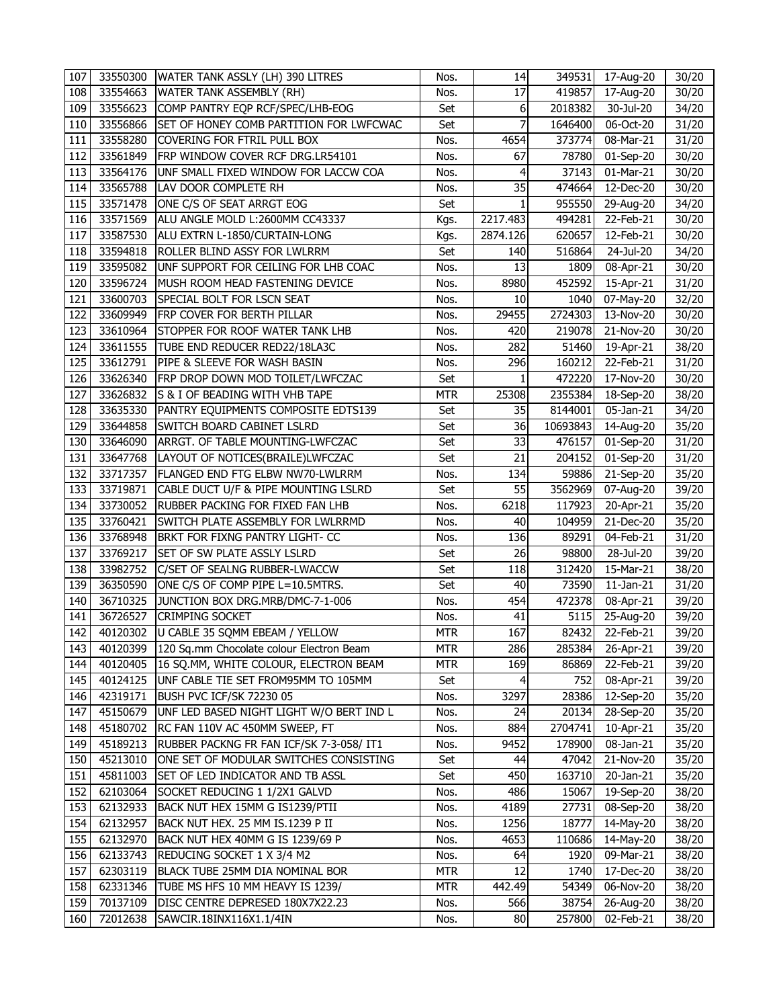| 107 | 33550300 | WATER TANK ASSLY (LH) 390 LITRES         | Nos.       | 14           |          | 349531 17-Aug-20        | 30/20 |
|-----|----------|------------------------------------------|------------|--------------|----------|-------------------------|-------|
| 108 | 33554663 | WATER TANK ASSEMBLY (RH)                 | Nos.       | 17           | 419857   | 17-Aug-20               | 30/20 |
| 109 | 33556623 | COMP PANTRY EQP RCF/SPEC/LHB-EOG         | Set        | 6            | 2018382  | 30-Jul-20               | 34/20 |
| 110 | 33556866 | SET OF HONEY COMB PARTITION FOR LWFCWAC  | Set        | 7            | 1646400  | 06-Oct-20               | 31/20 |
| 111 | 33558280 | COVERING FOR FTRIL PULL BOX              | Nos.       | 4654         | 373774   | 08-Mar-21               | 31/20 |
| 112 | 33561849 | FRP WINDOW COVER RCF DRG.LR54101         | Nos.       | 67           | 78780    | 01-Sep-20               | 30/20 |
| 113 | 33564176 | UNF SMALL FIXED WINDOW FOR LACCW COA     | Nos.       | 4            | 37143    | 01-Mar-21               | 30/20 |
| 114 | 33565788 | LAV DOOR COMPLETE RH                     | Nos.       | 35           | 474664   | $\overline{1}$ 2-Dec-20 | 30/20 |
| 115 | 33571478 | ONE C/S OF SEAT ARRGT EOG                | Set        | $\mathbf{1}$ | 955550   | 29-Aug-20               | 34/20 |
| 116 | 33571569 | ALU ANGLE MOLD L:2600MM CC43337          | Kgs.       | 2217.483     | 494281   | $22$ -Feb-21            | 30/20 |
| 117 | 33587530 | ALU EXTRN L-1850/CURTAIN-LONG            | Kgs.       | 2874.126     | 620657   | 12-Feb-21               | 30/20 |
| 118 | 33594818 | ROLLER BLIND ASSY FOR LWLRRM             | Set        | 140          | 516864   | 24-Jul-20               | 34/20 |
| 119 | 33595082 | UNF SUPPORT FOR CEILING FOR LHB COAC     | Nos.       | 13           | 1809     | 08-Apr-21               | 30/20 |
| 120 | 33596724 | MUSH ROOM HEAD FASTENING DEVICE          | Nos.       | 8980         | 452592   | 15-Apr-21               | 31/20 |
| 121 | 33600703 | SPECIAL BOLT FOR LSCN SEAT               | Nos.       | 10           | 1040     | 07-May-20               | 32/20 |
| 122 | 33609949 | FRP COVER FOR BERTH PILLAR               | Nos.       | 29455        | 2724303  | 13-Nov-20               | 30/20 |
| 123 | 33610964 | STOPPER FOR ROOF WATER TANK LHB          | Nos.       | 420          | 219078   | 21-Nov-20               | 30/20 |
| 124 | 33611555 | TUBE END REDUCER RED22/18LA3C            | Nos.       | 282          | 51460    | 19-Apr-21               | 38/20 |
| 125 | 33612791 | PIPE & SLEEVE FOR WASH BASIN             | Nos.       | 296          | 160212   | $22$ -Feb-21            | 31/20 |
| 126 | 33626340 | FRP DROP DOWN MOD TOILET/LWFCZAC         | Set        | $\mathbf{1}$ | 472220   | 17-Nov-20               | 30/20 |
| 127 | 33626832 | S & I OF BEADING WITH VHB TAPE           | <b>MTR</b> | 25308        | 2355384  | $18$ -Sep-20            | 38/20 |
| 128 | 33635330 | PANTRY EQUIPMENTS COMPOSITE EDTS139      | Set        | 35           | 8144001  | 05-Jan-21               | 34/20 |
| 129 | 33644858 | SWITCH BOARD CABINET LSLRD               | Set        | 36           | 10693843 | 14-Aug-20               | 35/20 |
| 130 | 33646090 | ARRGT. OF TABLE MOUNTING-LWFCZAC         | Set        | 33           | 476157   | $01-Sep-20$             | 31/20 |
| 131 | 33647768 | LAYOUT OF NOTICES(BRAILE)LWFCZAC         | Set        | 21           | 204152   | 01-Sep-20               | 31/20 |
| 132 | 33717357 | FLANGED END FTG ELBW NW70-LWLRRM         | Nos.       | 134          | 59886    | $\overline{2}$ 1-Sep-20 | 35/20 |
| 133 | 33719871 | CABLE DUCT U/F & PIPE MOUNTING LSLRD     | Set        | 55           | 3562969  | 07-Aug-20               | 39/20 |
| 134 | 33730052 | RUBBER PACKING FOR FIXED FAN LHB         | Nos.       | 6218         | 117923   | 20-Apr-21               | 35/20 |
| 135 | 33760421 | SWITCH PLATE ASSEMBLY FOR LWLRRMD        | Nos.       | 40           | 104959   | 21-Dec-20               | 35/20 |
| 136 | 33768948 | BRKT FOR FIXNG PANTRY LIGHT- CC          | Nos.       | 136          | 89291    | 04-Feb-21               | 31/20 |
| 137 | 33769217 | SET OF SW PLATE ASSLY LSLRD              | Set        | 26           | 98800    | 28-Jul-20               | 39/20 |
| 138 | 33982752 | C/SET OF SEALNG RUBBER-LWACCW            | Set        | 118          | 312420   | 15-Mar-21               | 38/20 |
| 139 | 36350590 | ONE C/S OF COMP PIPE L=10.5MTRS.         | Set        | 40           | 73590    | $11$ -Jan- $21$         | 31/20 |
| 140 | 36710325 | JUNCTION BOX DRG.MRB/DMC-7-1-006         | Nos.       | 454          | 472378   | 08-Apr-21               | 39/20 |
| 141 | 36726527 | <b>CRIMPING SOCKET</b>                   | Nos.       | 41           | 5115     | 25-Aug-20               | 39/20 |
| 142 | 40120302 | U CABLE 35 SQMM EBEAM / YELLOW           | <b>MTR</b> | 167          | 82432    | 22-Feb-21               | 39/20 |
| 143 | 40120399 | 120 Sq.mm Chocolate colour Electron Beam | <b>MTR</b> | 286          | 285384   | 26-Apr-21               | 39/20 |
| 144 | 40120405 | 16 SQ.MM, WHITE COLOUR, ELECTRON BEAM    | MTR        | 169          | 86869    | 22-Feb-21               | 39/20 |
| 145 | 40124125 | UNF CABLE TIE SET FROM95MM TO 105MM      | Set        | 4            | 752      | 08-Apr-21               | 39/20 |
| 146 | 42319171 | BUSH PVC ICF/SK 72230 05                 | Nos.       | 3297         | 28386    | 12-Sep-20               | 35/20 |
| 147 | 45150679 | UNF LED BASED NIGHT LIGHT W/O BERT IND L | Nos.       | 24           | 20134    | 28-Sep-20               | 35/20 |
| 148 | 45180702 | RC FAN 110V AC 450MM SWEEP, FT           | Nos.       | 884          | 2704741  | 10-Apr-21               | 35/20 |
| 149 | 45189213 | RUBBER PACKNG FR FAN ICF/SK 7-3-058/ IT1 | Nos.       | 9452         | 178900   | 08-Jan-21               | 35/20 |
| 150 | 45213010 | ONE SET OF MODULAR SWITCHES CONSISTING   | Set        | 44           | 47042    | 21-Nov-20               | 35/20 |
| 151 | 45811003 | SET OF LED INDICATOR AND TB ASSL         | Set        | 450          | 163710   | 20-Jan-21               | 35/20 |
| 152 | 62103064 | SOCKET REDUCING 1 1/2X1 GALVD            | Nos.       | 486          | 15067    | $19-$ Sep-20            | 38/20 |
| 153 | 62132933 | BACK NUT HEX 15MM G IS1239/PTII          | Nos.       | 4189         | 27731    | 08-Sep-20               | 38/20 |
| 154 | 62132957 | BACK NUT HEX. 25 MM IS.1239 P II         | Nos.       | 1256         | 18777    | 14-May-20               | 38/20 |
| 155 | 62132970 | BACK NUT HEX 40MM G IS 1239/69 P         | Nos.       | 4653         | 110686   | 14-May-20               | 38/20 |
| 156 | 62133743 | REDUCING SOCKET 1 X 3/4 M2               | Nos.       | 64           | 1920     | 09-Mar-21               | 38/20 |
| 157 | 62303119 | BLACK TUBE 25MM DIA NOMINAL BOR          | MTR        | 12           | 1740     | 17-Dec-20               | 38/20 |
| 158 | 62331346 | TUBE MS HFS 10 MM HEAVY IS 1239/         | MTR        | 442.49       | 54349    | 06-Nov-20               | 38/20 |
| 159 | 70137109 | DISC CENTRE DEPRESED 180X7X22.23         | Nos.       | 566          | 38754    | 26-Aug-20               | 38/20 |
| 160 | 72012638 | SAWCIR.18INX116X1.1/4IN                  | Nos.       | 80           | 257800   | 02-Feb-21               | 38/20 |
|     |          |                                          |            |              |          |                         |       |